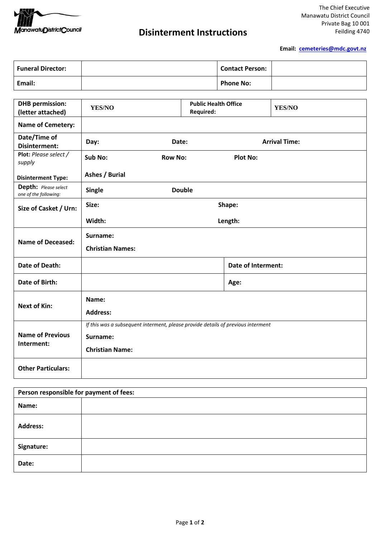

## **Disinterment Instructions**

**Email: [cemeteries@mdc.govt.nz](mailto:cemeteries@mdc.govt.nz)**

| <b>Funeral Director:</b> | <b>Contact Person:</b> |  |
|--------------------------|------------------------|--|
| Email:                   | <b>Phone No:</b>       |  |

| <b>DHB</b> permission:<br>(letter attached)   | <b>YES/NO</b>                                                                    | <b>Public Health Office</b><br><b>Required:</b> |                           | YES/NO               |
|-----------------------------------------------|----------------------------------------------------------------------------------|-------------------------------------------------|---------------------------|----------------------|
| <b>Name of Cemetery:</b>                      |                                                                                  |                                                 |                           |                      |
| Date/Time of<br>Disinterment:                 | Day:                                                                             | Date:                                           |                           | <b>Arrival Time:</b> |
| Plot: Please select /<br>supply               | Sub No:<br><b>Row No:</b>                                                        |                                                 | <b>Plot No:</b>           |                      |
| <b>Disinterment Type:</b>                     | Ashes / Burial                                                                   |                                                 |                           |                      |
| Depth: Please select<br>one of the following: | <b>Single</b>                                                                    | <b>Double</b>                                   |                           |                      |
| Size of Casket / Urn:                         | Size:<br>Shape:                                                                  |                                                 |                           |                      |
|                                               | Width:<br>Length:                                                                |                                                 |                           |                      |
|                                               | Surname:                                                                         |                                                 |                           |                      |
| <b>Name of Deceased:</b>                      | <b>Christian Names:</b>                                                          |                                                 |                           |                      |
| Date of Death:                                |                                                                                  |                                                 | <b>Date of Interment:</b> |                      |
| Date of Birth:                                |                                                                                  |                                                 | Age:                      |                      |
| <b>Next of Kin:</b>                           | Name:                                                                            |                                                 |                           |                      |
|                                               | <b>Address:</b>                                                                  |                                                 |                           |                      |
|                                               | If this was a subsequent interment, please provide details of previous interment |                                                 |                           |                      |
| <b>Name of Previous</b><br>Interment:         | Surname:                                                                         |                                                 |                           |                      |
|                                               | <b>Christian Name:</b>                                                           |                                                 |                           |                      |
| <b>Other Particulars:</b>                     |                                                                                  |                                                 |                           |                      |

| Person responsible for payment of fees: |  |  |
|-----------------------------------------|--|--|
| Name:                                   |  |  |
| <b>Address:</b>                         |  |  |
| Signature:                              |  |  |
| Date:                                   |  |  |